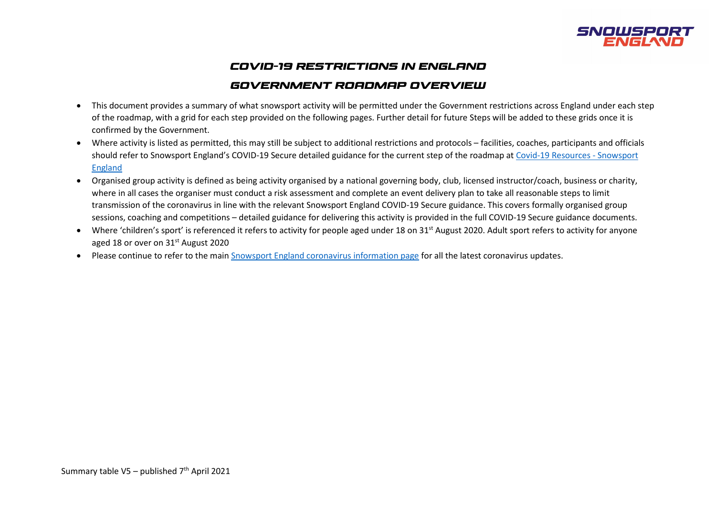

# *COVID-19 RESTRICTIONS IN ENGLAND*

## *GOVERNMENT ROADMAP OVERVIEW*

- This document provides a summary of what snowsport activity will be permitted under the Government restrictions across England under each step of the roadmap, with a grid for each step provided on the following pages. Further detail for future Steps will be added to these grids once it is confirmed by the Government.
- Where activity is listed as permitted, this may still be subject to additional restrictions and protocols facilities, coaches, participants and officials should refer to Snowsport England's COVID-19 Secure detailed guidance for the current step of the roadmap at [Covid-19 Resources -](https://www.snowsportengland.org.uk/covid-19-resources/) Snowsport [England](https://www.snowsportengland.org.uk/covid-19-resources/)
- Organised group activity is defined as being activity organised by a national governing body, club, licensed instructor/coach, business or charity, where in all cases the organiser must conduct a risk assessment and complete an event delivery plan to take all reasonable steps to limit transmission of the coronavirus in line with the relevant Snowsport England COVID-19 Secure guidance. This covers formally organised group sessions, coaching and competitions – detailed guidance for delivering this activity is provided in the full COVID-19 Secure guidance documents.
- Where 'children's sport' is referenced it refers to activity for people aged under 18 on 31<sup>st</sup> August 2020. Adult sport refers to activity for anyone aged 18 or over on 31<sup>st</sup> August 2020
- Please continue to refer to the main [Snowsport England coronavirus information page](https://www.snowsportengland.org.uk/covid-19-resources/) for all the latest coronavirus updates.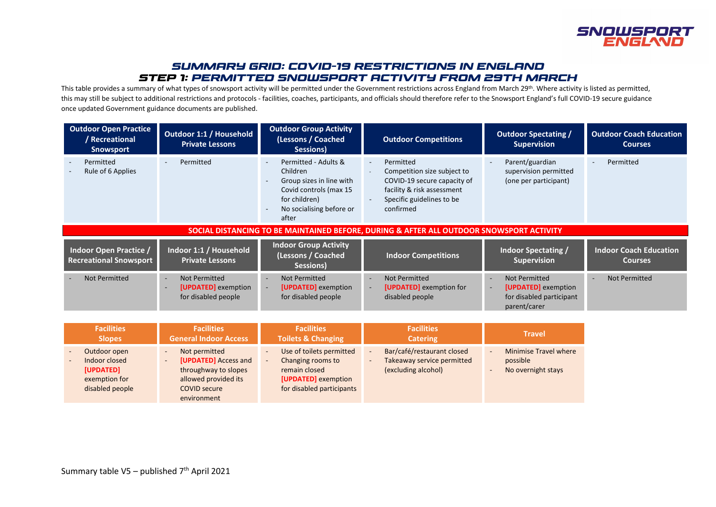

## *SUMMARY GRID: COVID-19 RESTRICTIONS IN ENGLAND STEP 1: PERMITTED SNOWSPORT ACTIVITY FROM 29th MARCH*

This table provides a summary of what types of snowsport activity will be permitted under the Government restrictions across England from March 29<sup>th</sup>. Where activity is listed as permitted, this may still be subject to additional restrictions and protocols - facilities, coaches, participants, and officials should therefore refer to the Snowsport England's full COVID-19 secure guidance once updated Government guidance documents are published.

| <b>Outdoor Open Practice</b><br>Recreational<br><b>Snowsport</b>                         | <b>Outdoor 1:1 / Household</b><br><b>Private Lessons</b>                        | <b>Outdoor Group Activity</b><br>(Lessons / Coached<br>Sessions)                                                                                                                                     | <b>Outdoor Competitions</b>                                                                                                                     | <b>Outdoor Spectating /</b><br><b>Supervision</b>                                       | <b>Outdoor Coach Education</b><br><b>Courses</b> |  |
|------------------------------------------------------------------------------------------|---------------------------------------------------------------------------------|------------------------------------------------------------------------------------------------------------------------------------------------------------------------------------------------------|-------------------------------------------------------------------------------------------------------------------------------------------------|-----------------------------------------------------------------------------------------|--------------------------------------------------|--|
| Permitted<br>Rule of 6 Applies                                                           | Permitted                                                                       | Permitted - Adults &<br>$\overline{\phantom{a}}$<br>Children<br>Group sizes in line with<br>$\overline{\phantom{a}}$<br>Covid controls (max 15<br>for children)<br>No socialising before or<br>after | Permitted<br>Competition size subject to<br>COVID-19 secure capacity of<br>facility & risk assessment<br>Specific guidelines to be<br>confirmed | Parent/guardian<br>supervision permitted<br>(one per participant)                       | Permitted                                        |  |
| SOCIAL DISTANCING TO BE MAINTAINED BEFORE, DURING & AFTER ALL OUTDOOR SNOWSPORT ACTIVITY |                                                                                 |                                                                                                                                                                                                      |                                                                                                                                                 |                                                                                         |                                                  |  |
| Indoor Open Practice /<br><b>Recreational Snowsport</b>                                  | Indoor 1:1 / Household<br><b>Private Lessons</b>                                | <b>Indoor Group Activity</b><br>(Lessons / Coached<br>Sessions)                                                                                                                                      | <b>Indoor Competitions</b>                                                                                                                      | Indoor Spectating /<br><b>Supervision</b>                                               | <b>Indoor Coach Education</b><br><b>Courses</b>  |  |
| <b>Not Permitted</b>                                                                     | Not Permitted<br>$\sim$<br>[UPDATED] exemption<br>$\sim$<br>for disabled people | <b>Not Permitted</b><br>$\sim$<br>[UPDATED] exemption<br>$\sim$<br>for disabled people                                                                                                               | Not Permitted<br>$\overline{\phantom{a}}$<br>[UPDATED] exemption for<br>disabled people                                                         | <b>Not Permitted</b><br>[UPDATED] exemption<br>for disabled participant<br>parent/carer | Not Permitted                                    |  |
| <b>Facilities</b>                                                                        | <b>Facilities</b>                                                               | <b>Facilities</b>                                                                                                                                                                                    | <b>Facilities</b>                                                                                                                               | <b>Travel</b>                                                                           |                                                  |  |

| <b>Facilities</b>                                                              | <b>Facilities</b>                                                                                                                                                                          | <b>Facilities</b>                                                                                                  | <b>Facilities</b>                                                               | <b>Travel</b>                                                                                    |
|--------------------------------------------------------------------------------|--------------------------------------------------------------------------------------------------------------------------------------------------------------------------------------------|--------------------------------------------------------------------------------------------------------------------|---------------------------------------------------------------------------------|--------------------------------------------------------------------------------------------------|
| <b>Slopes</b>                                                                  | <b>General Indoor Access</b>                                                                                                                                                               | <b>Toilets &amp; Changing</b>                                                                                      | <b>Catering</b>                                                                 |                                                                                                  |
| Outdoor open<br>Indoor closed<br>[UPDATED]<br>exemption for<br>disabled people | Not permitted<br>$\overline{\phantom{a}}$<br><b>[UPDATED]</b> Access and<br>$\overline{\phantom{a}}$<br>throughway to slopes<br>allowed provided its<br><b>COVID secure</b><br>environment | Use of toilets permitted<br>Changing rooms to<br>remain closed<br>[UPDATED] exemption<br>for disabled participants | Bar/café/restaurant closed<br>Takeaway service permitted<br>(excluding alcohol) | <b>Minimise Travel where</b><br>$\overline{\phantom{a}}$<br>possible<br>No overnight stays<br>۰. |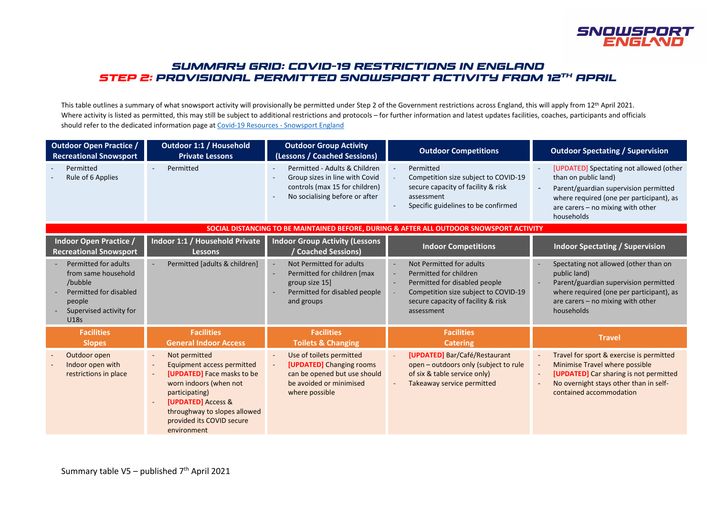

## *SUMMARY GRID: COVID-19 RESTRICTIONS IN ENGLAND STEP 2: PROVISIONAL PERMITTED SNOWSPORT ACTIVITY FROM 12th APRIL*

This table outlines a summary of what snowsport activity will provisionally be permitted under Step 2 of the Government restrictions across England, this will apply from 12<sup>th</sup> April 2021. Where activity is listed as permitted, this may still be subject to additional restrictions and protocols – for further information and latest updates facilities, coaches, participants and officials should refer to the dedicated information page a[t Covid-19 Resources -](https://www.snowsportengland.org.uk/covid-19-resources/) Snowsport England

| <b>Outdoor Open Practice /</b><br><b>Recreational Snowsport</b>                                                                      | Outdoor 1:1 / Household<br><b>Private Lessons</b>                                                                                                                                                                                                                                 | <b>Outdoor Group Activity</b><br>(Lessons / Coached Sessions)                                                                                                         | <b>Outdoor Competitions</b>                                                                                                                                                                                                           | <b>Outdoor Spectating / Supervision</b>                                                                                                                                                                     |
|--------------------------------------------------------------------------------------------------------------------------------------|-----------------------------------------------------------------------------------------------------------------------------------------------------------------------------------------------------------------------------------------------------------------------------------|-----------------------------------------------------------------------------------------------------------------------------------------------------------------------|---------------------------------------------------------------------------------------------------------------------------------------------------------------------------------------------------------------------------------------|-------------------------------------------------------------------------------------------------------------------------------------------------------------------------------------------------------------|
| Permitted<br>Rule of 6 Applies                                                                                                       | Permitted                                                                                                                                                                                                                                                                         | Permitted - Adults & Children<br>$\sim$<br>Group sizes in line with Covid<br>controls (max 15 for children)<br>No socialising before or after                         | Permitted<br>Competition size subject to COVID-19<br>secure capacity of facility & risk<br>assessment<br>Specific guidelines to be confirmed<br>$\overline{\phantom{a}}$                                                              | [UPDATED] Spectating not allowed (other<br>than on public land)<br>Parent/guardian supervision permitted<br>where required (one per participant), as<br>are carers - no mixing with other<br>households     |
|                                                                                                                                      |                                                                                                                                                                                                                                                                                   |                                                                                                                                                                       | SOCIAL DISTANCING TO BE MAINTAINED BEFORE, DURING & AFTER ALL OUTDOOR SNOWSPORT ACTIVITY                                                                                                                                              |                                                                                                                                                                                                             |
| <b>Indoor Open Practice /</b><br><b>Recreational Snowsport</b>                                                                       | Indoor 1:1 / Household Private<br><b>Lessons</b>                                                                                                                                                                                                                                  | <b>Indoor Group Activity (Lessons</b><br>Coached Sessions)                                                                                                            | <b>Indoor Competitions</b>                                                                                                                                                                                                            | <b>Indoor Spectating / Supervision</b>                                                                                                                                                                      |
| Permitted for adults<br>from same household<br>/bubble<br>Permitted for disabled<br>people<br>Supervised activity for<br><b>U18s</b> | Permitted [adults & children]<br>$\sim$                                                                                                                                                                                                                                           | Not Permitted for adults<br>$\sim$<br>Permitted for children [max<br>$\sim$<br>group size 15]<br>Permitted for disabled people<br>and groups                          | Not Permitted for adults<br>$\sim$<br>Permitted for children<br>$\overline{\phantom{a}}$<br>Permitted for disabled people<br>$\sim$<br>Competition size subject to COVID-19<br>÷.<br>secure capacity of facility & risk<br>assessment | Spectating not allowed (other than on<br>public land)<br>Parent/guardian supervision permitted<br>where required (one per participant), as<br>are carers - no mixing with other<br>households               |
| <b>Facilities</b><br><b>Slopes</b>                                                                                                   | <b>Facilities</b><br><b>General Indoor Access</b>                                                                                                                                                                                                                                 | <b>Facilities</b><br><b>Toilets &amp; Changing</b>                                                                                                                    | <b>Facilities</b><br><b>Catering</b>                                                                                                                                                                                                  | <b>Travel</b>                                                                                                                                                                                               |
| Outdoor open<br>Indoor open with<br>restrictions in place                                                                            | Not permitted<br>$\overline{\phantom{a}}$<br>Equipment access permitted<br>$\sim$<br>[UPDATED] Face masks to be<br>$\sim$<br>worn indoors (when not<br>participating)<br>[UPDATED] Access &<br>$\sim$<br>throughway to slopes allowed<br>provided its COVID secure<br>environment | Use of toilets permitted<br>$\blacksquare$<br>[UPDATED] Changing rooms<br>$\blacksquare$<br>can be opened but use should<br>be avoided or minimised<br>where possible | [UPDATED] Bar/Café/Restaurant<br>$\mathbb{L}$<br>open - outdoors only (subject to rule<br>of six & table service only)<br>Takeaway service permitted<br>$\overline{\phantom{a}}$                                                      | Travel for sport & exercise is permitted<br>Minimise Travel where possible<br>[UPDATED] Car sharing is not permitted<br>$\blacksquare$<br>No overnight stays other than in self-<br>contained accommodation |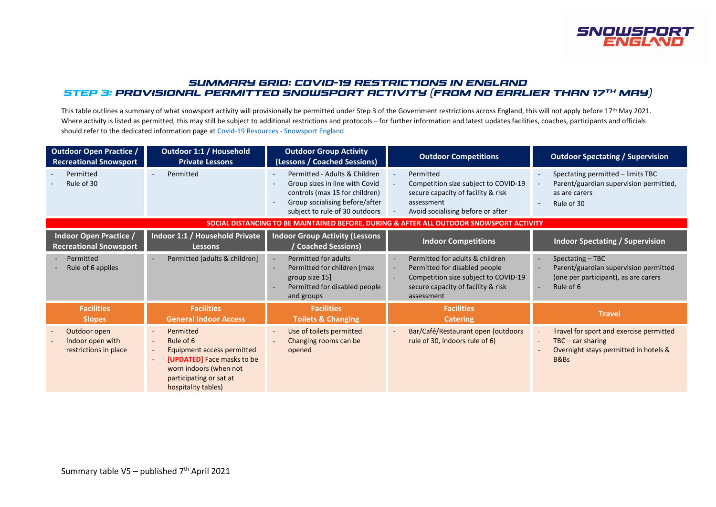

### *SUMMARY GRID: COVID-19 RESTRICTIONS IN ENGLAND STEP 3: PROVISIONAL PERMITTED Snowsport ACTIVITY (FROM NO EARLIER THAN 17th MAY)*

This table outlines a summary of what snowsport activity will provisionally be permitted under Step 3 of the Government restrictions across England, this will not apply before 17<sup>th</sup> May 2021. Where activity is listed as permitted, this may still be subject to additional restrictions and protocols – for further information and latest updates facilities, coaches, participants and officials should refer to the dedicated information page a[t Covid-19 Resources -](https://www.snowsportengland.org.uk/covid-19-resources/) Snowsport England

| <b>Outdoor Open Practice /</b><br><b>Recreational Snowsport</b> | <b>Outdoor 1:1 / Household</b><br><b>Private Lessons</b>                                                                                                                                                                            | <b>Outdoor Group Activity</b><br>(Lessons / Coached Sessions)                                                                                                                                                                 | <b>Outdoor Competitions</b>                                                                                                                                                                                | <b>Outdoor Spectating / Supervision</b>                                                                                                    |
|-----------------------------------------------------------------|-------------------------------------------------------------------------------------------------------------------------------------------------------------------------------------------------------------------------------------|-------------------------------------------------------------------------------------------------------------------------------------------------------------------------------------------------------------------------------|------------------------------------------------------------------------------------------------------------------------------------------------------------------------------------------------------------|--------------------------------------------------------------------------------------------------------------------------------------------|
| Permitted<br>Rule of 30                                         | Permitted<br>$\sim$                                                                                                                                                                                                                 | Permitted - Adults & Children<br>$\overline{\phantom{a}}$<br>Group sizes in line with Covid<br>controls (max 15 for children)<br>Group socialising before/after<br>$\overline{\phantom{a}}$<br>subject to rule of 30 outdoors | Permitted<br>Competition size subject to COVID-19<br>secure capacity of facility & risk<br>assessment<br>Avoid socialising before or after                                                                 | Spectating permitted - limits TBC<br>Parent/guardian supervision permitted,<br>as are carers<br>Rule of 30                                 |
|                                                                 |                                                                                                                                                                                                                                     |                                                                                                                                                                                                                               | SOCIAL DISTANCING TO BE MAINTAINED BEFORE, DURING & AFTER ALL OUTDOOR SNOWSPORT ACTIVITY                                                                                                                   |                                                                                                                                            |
| Indoor Open Practice /<br><b>Recreational Snowsport</b>         | Indoor 1:1 / Household Private<br><b>Lessons</b>                                                                                                                                                                                    | <b>Indoor Group Activity (Lessons</b><br>Coached Sessions)                                                                                                                                                                    | <b>Indoor Competitions</b>                                                                                                                                                                                 | <b>Indoor Spectating / Supervision</b>                                                                                                     |
| Permitted<br>Rule of 6 applies                                  | Permitted [adults & children]<br>$\sim$                                                                                                                                                                                             | Permitted for adults<br>$\sim$<br>Permitted for children [max<br>$\overline{\phantom{a}}$<br>group size 15]<br>Permitted for disabled people<br>and groups                                                                    | Permitted for adults & children<br>$\blacksquare$<br>Permitted for disabled people<br>$\overline{\phantom{a}}$<br>Competition size subject to COVID-19<br>secure capacity of facility & risk<br>assessment | Spectating - TBC<br>$\overline{\phantom{a}}$<br>Parent/guardian supervision permitted<br>(one per participant), as are carers<br>Rule of 6 |
| <b>Facilities</b><br><b>Slopes</b>                              | <b>Facilities</b><br><b>General Indoor Access</b>                                                                                                                                                                                   | <b>Facilities</b><br><b>Toilets &amp; Changing</b>                                                                                                                                                                            | <b>Facilities</b><br><b>Catering</b>                                                                                                                                                                       | <b>Travel</b>                                                                                                                              |
| Outdoor open<br>Indoor open with<br>restrictions in place       | Permitted<br>$\blacksquare$<br>Rule of 6<br>$\blacksquare$<br>Equipment access permitted<br>$\overline{\phantom{a}}$<br>[UPDATED] Face masks to be<br>٠<br>worn indoors (when not<br>participating or sat at<br>hospitality tables) | Use of toilets permitted<br>$\overline{\phantom{a}}$<br>Changing rooms can be<br>$\overline{\phantom{a}}$<br>opened                                                                                                           | Bar/Café/Restaurant open (outdoors<br>$\overline{\phantom{a}}$<br>rule of 30, indoors rule of 6)                                                                                                           | Travel for sport and exercise permitted<br>$TBC - car sharing$<br>Overnight stays permitted in hotels &<br>B&Bs                            |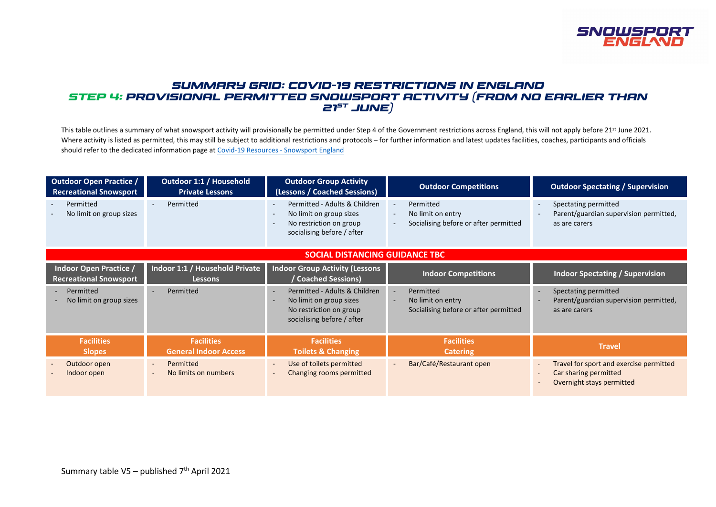

## *SUMMARY GRID: COVID-19 RESTRICTIONS IN ENGLAND STEP 4: PROVISIONAL PERMITTED SNOWSPORT ACTIVITY (FROM NO EARLIER THAN 21st JUNE)*

This table outlines a summary of what snowsport activity will provisionally be permitted under Step 4 of the Government restrictions across England, this will not apply before 21<sup>st</sup> June 2021. Where activity is listed as permitted, this may still be subject to additional restrictions and protocols – for further information and latest updates facilities, coaches, participants and officials should refer to the dedicated information page a[t Covid-19 Resources -](https://www.snowsportengland.org.uk/covid-19-resources/) Snowsport England

| <b>Outdoor Open Practice /</b><br><b>Recreational Snowsport</b> | <b>Outdoor 1:1 / Household</b><br><b>Private Lessons</b> | <b>Outdoor Group Activity</b><br>(Lessons / Coached Sessions)                                                                                                     | <b>Outdoor Competitions</b>                                                                                                                       | <b>Outdoor Spectating / Supervision</b>                                                       |
|-----------------------------------------------------------------|----------------------------------------------------------|-------------------------------------------------------------------------------------------------------------------------------------------------------------------|---------------------------------------------------------------------------------------------------------------------------------------------------|-----------------------------------------------------------------------------------------------|
| Permitted<br>No limit on group sizes                            | Permitted                                                | Permitted - Adults & Children<br>$\sim$<br>No limit on group sizes<br>$\sim$<br>No restriction on group<br>$\overline{\phantom{a}}$<br>socialising before / after | Permitted<br>$\blacksquare$<br>No limit on entry<br>$\overline{\phantom{a}}$<br>Socialising before or after permitted<br>$\overline{\phantom{a}}$ | Spectating permitted<br>Parent/guardian supervision permitted,<br>as are carers               |
| <b>SOCIAL DISTANCING GUIDANCE TBC</b>                           |                                                          |                                                                                                                                                                   |                                                                                                                                                   |                                                                                               |
| <b>Indoor Open Practice /</b><br><b>Recreational Snowsport</b>  | Indoor 1:1 / Household Private<br><b>Lessons</b>         | <b>Indoor Group Activity (Lessons</b><br>Coached Sessions)                                                                                                        | <b>Indoor Competitions</b>                                                                                                                        | <b>Indoor Spectating / Supervision</b>                                                        |
| Permitted<br>No limit on group sizes                            | Permitted<br>$\sim$                                      | Permitted - Adults & Children<br>$\sim$<br>No limit on group sizes<br>$\overline{\phantom{a}}$<br>No restriction on group<br>socialising before / after           | Permitted<br>$\sim$<br>No limit on entry<br>$\sim$<br>Socialising before or after permitted                                                       | Spectating permitted<br>Parent/guardian supervision permitted,<br>as are carers               |
| <b>Facilities</b><br><b>Slopes</b>                              | <b>Facilities</b><br><b>General Indoor Access</b>        | <b>Facilities</b><br><b>Toilets &amp; Changing</b>                                                                                                                | <b>Facilities</b><br><b>Catering</b>                                                                                                              | Travel                                                                                        |
| Outdoor open<br>$\overline{\phantom{a}}$<br>Indoor open         | Permitted<br>$\sim$<br>No limits on numbers<br>$\sim$    | Use of toilets permitted<br>$\sim$<br>Changing rooms permitted<br>$\overline{\phantom{a}}$                                                                        | Bar/Café/Restaurant open<br>$\overline{\phantom{a}}$                                                                                              | Travel for sport and exercise permitted<br>Car sharing permitted<br>Overnight stays permitted |